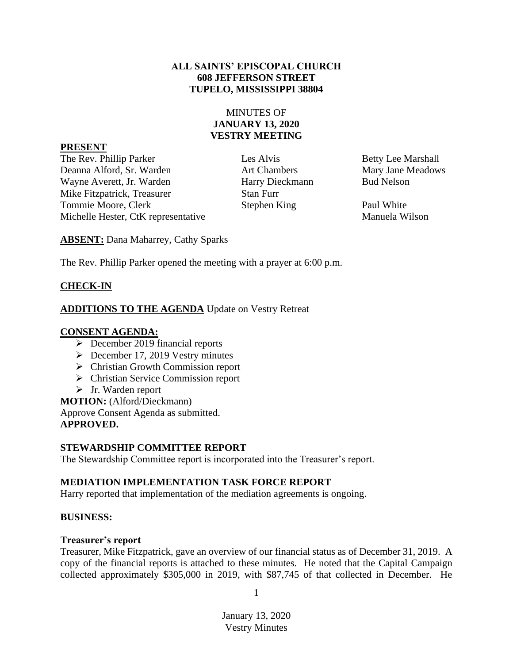### **ALL SAINTS' EPISCOPAL CHURCH 608 JEFFERSON STREET TUPELO, MISSISSIPPI 38804**

### MINUTES OF **JANUARY 13, 2020 VESTRY MEETING**

#### **PRESENT**

The Rev. Phillip Parker Les Alvis Les Alvis Betty Lee Marshall Deanna Alford, Sr. Warden Art Chambers Mary Jane Meadows Wayne Averett, Jr. Warden **Harry Dieckmann** Bud Nelson Mike Fitzpatrick, Treasurer Stan Furr Tommie Moore, Clerk Stephen King Paul White Michelle Hester, CtK representative Manuela Wilson

**ABSENT:** Dana Maharrey, Cathy Sparks

The Rev. Phillip Parker opened the meeting with a prayer at 6:00 p.m.

# **CHECK-IN**

## **ADDITIONS TO THE AGENDA** Update on Vestry Retreat

## **CONSENT AGENDA:**

- ➢ December 2019 financial reports
- $\geq$  December 17, 2019 Vestry minutes
- ➢ Christian Growth Commission report
- ➢ Christian Service Commission report
- ➢ Jr. Warden report

**MOTION:** (Alford/Dieckmann) Approve Consent Agenda as submitted. **APPROVED.**

## **STEWARDSHIP COMMITTEE REPORT**

The Stewardship Committee report is incorporated into the Treasurer's report.

## **MEDIATION IMPLEMENTATION TASK FORCE REPORT**

Harry reported that implementation of the mediation agreements is ongoing.

### **BUSINESS:**

### **Treasurer's report**

Treasurer, Mike Fitzpatrick, gave an overview of our financial status as of December 31, 2019. A copy of the financial reports is attached to these minutes. He noted that the Capital Campaign collected approximately \$305,000 in 2019, with \$87,745 of that collected in December. He

1

January 13, 2020 Vestry Minutes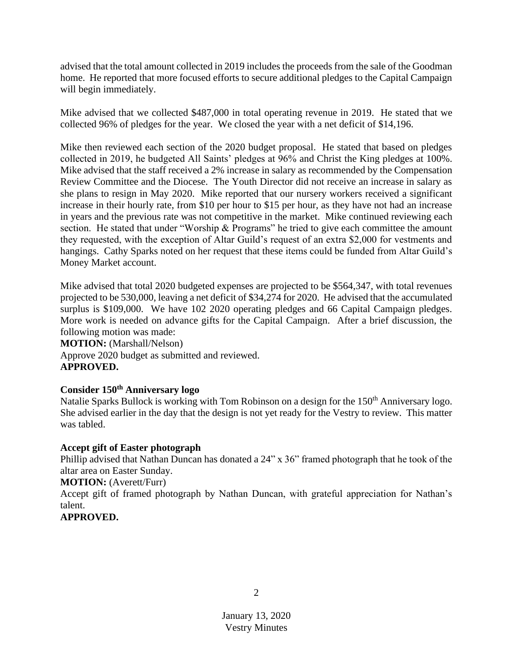advised that the total amount collected in 2019 includes the proceeds from the sale of the Goodman home. He reported that more focused efforts to secure additional pledges to the Capital Campaign will begin immediately.

Mike advised that we collected \$487,000 in total operating revenue in 2019. He stated that we collected 96% of pledges for the year. We closed the year with a net deficit of \$14,196.

Mike then reviewed each section of the 2020 budget proposal. He stated that based on pledges collected in 2019, he budgeted All Saints' pledges at 96% and Christ the King pledges at 100%. Mike advised that the staff received a 2% increase in salary as recommended by the Compensation Review Committee and the Diocese. The Youth Director did not receive an increase in salary as she plans to resign in May 2020. Mike reported that our nursery workers received a significant increase in their hourly rate, from \$10 per hour to \$15 per hour, as they have not had an increase in years and the previous rate was not competitive in the market. Mike continued reviewing each section. He stated that under "Worship & Programs" he tried to give each committee the amount they requested, with the exception of Altar Guild's request of an extra \$2,000 for vestments and hangings. Cathy Sparks noted on her request that these items could be funded from Altar Guild's Money Market account.

Mike advised that total 2020 budgeted expenses are projected to be \$564,347, with total revenues projected to be 530,000, leaving a net deficit of \$34,274 for 2020. He advised that the accumulated surplus is \$109,000. We have 102 2020 operating pledges and 66 Capital Campaign pledges. More work is needed on advance gifts for the Capital Campaign. After a brief discussion, the following motion was made:

**MOTION:** (Marshall/Nelson) Approve 2020 budget as submitted and reviewed. **APPROVED.**

### **Consider 150th Anniversary logo**

Natalie Sparks Bullock is working with Tom Robinson on a design for the 150<sup>th</sup> Anniversary logo. She advised earlier in the day that the design is not yet ready for the Vestry to review. This matter was tabled.

#### **Accept gift of Easter photograph**

Phillip advised that Nathan Duncan has donated a 24" x 36" framed photograph that he took of the altar area on Easter Sunday.

#### **MOTION:** (Averett/Furr)

Accept gift of framed photograph by Nathan Duncan, with grateful appreciation for Nathan's talent.

### **APPROVED.**

2